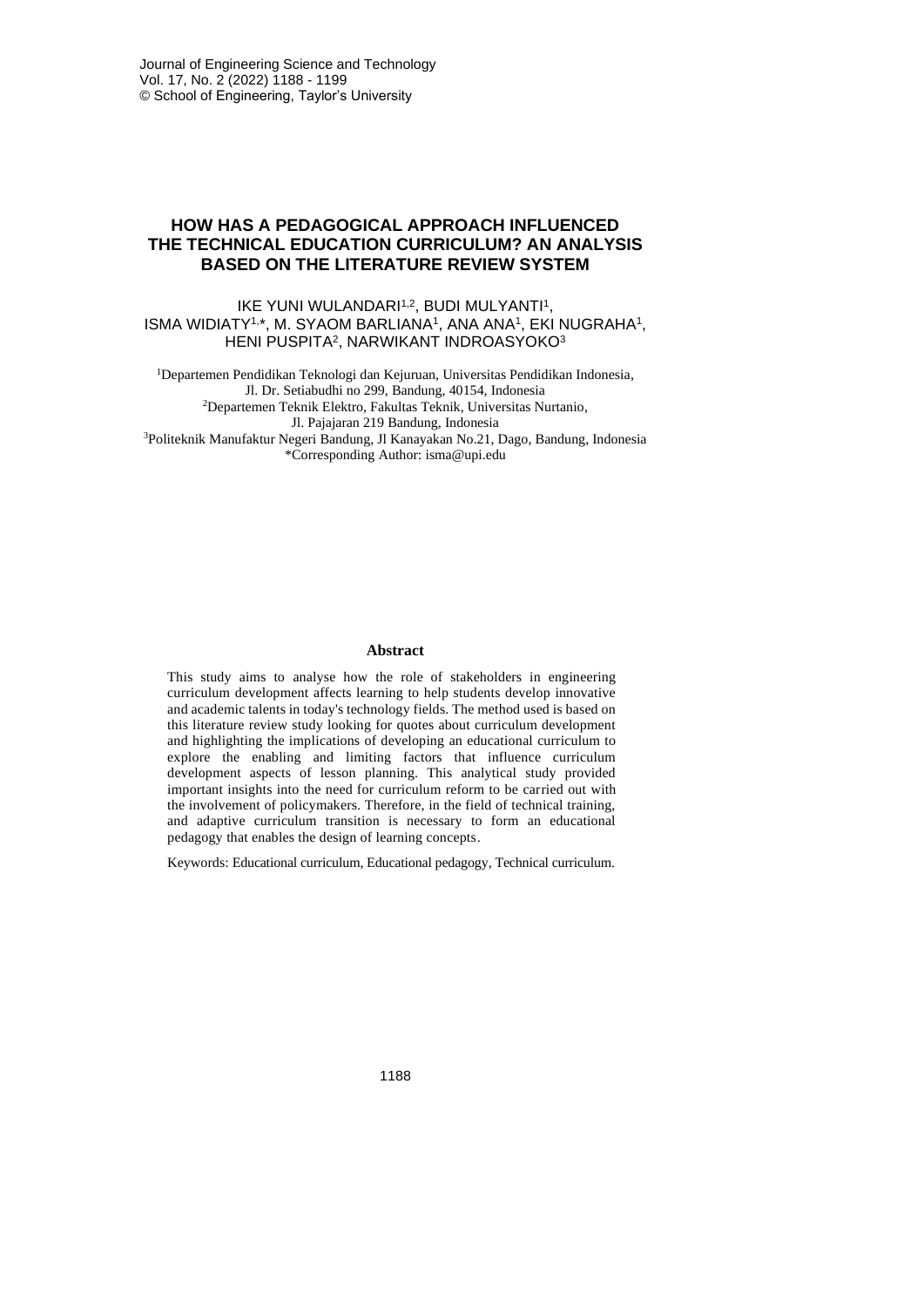# **HOW HAS A PEDAGOGICAL APPROACH INFLUENCED THE TECHNICAL EDUCATION CURRICULUM? AN ANALYSIS BASED ON THE LITERATURE REVIEW SYSTEM**

### IKE YUNI WULANDARI<sup>1,2</sup>, BUDI MULYANTI<sup>1</sup>, ISMA WIDIATY<sup>1,\*</sup>, M. SYAOM BARLIANA<sup>1</sup>, ANA ANA<sup>1</sup>, EKI NUGRAHA<sup>1</sup>, HENI PUSPITA<sup>2</sup> , NARWIKANT INDROASYOKO<sup>3</sup>

<sup>1</sup>Departemen Pendidikan Teknologi dan Kejuruan, Universitas Pendidikan Indonesia, Jl. Dr. Setiabudhi no 299, Bandung, 40154, Indonesia <sup>2</sup>Departemen Teknik Elektro, Fakultas Teknik, Universitas Nurtanio, Jl. Pajajaran 219 Bandung, Indonesia <sup>3</sup>Politeknik Manufaktur Negeri Bandung, Jl Kanayakan No.21, Dago, Bandung, Indonesia \*Corresponding Author: isma@upi.edu

#### **Abstract**

This study aims to analyse how the role of stakeholders in engineering curriculum development affects learning to help students develop innovative and academic talents in today's technology fields. The method used is based on this literature review study looking for quotes about curriculum development and highlighting the implications of developing an educational curriculum to explore the enabling and limiting factors that influence curriculum development aspects of lesson planning. This analytical study provided important insights into the need for curriculum reform to be carried out with the involvement of policymakers. Therefore, in the field of technical training, and adaptive curriculum transition is necessary to form an educational pedagogy that enables the design of learning concepts.

Keywords: Educational curriculum, Educational pedagogy, Technical curriculum.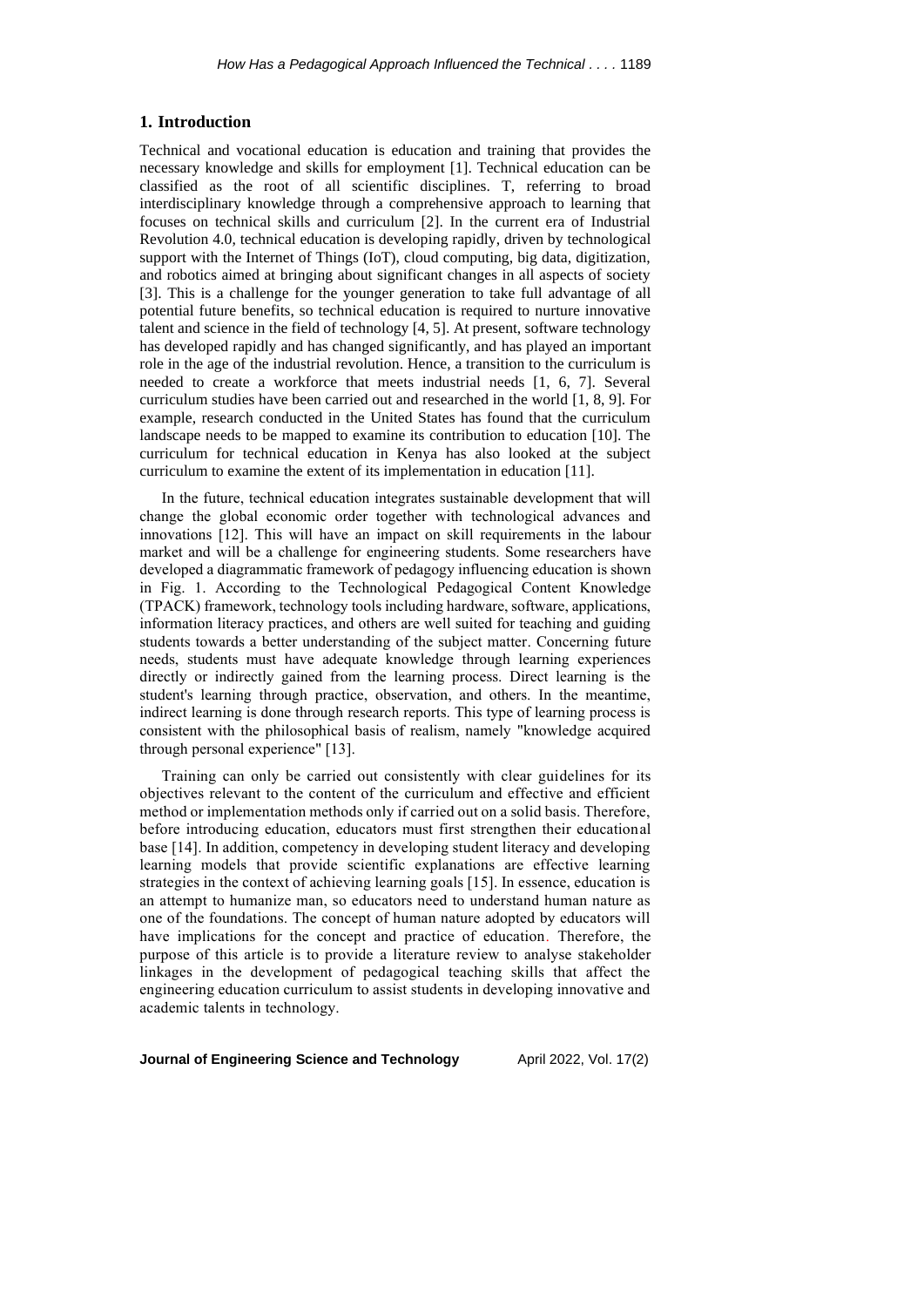#### **1. Introduction**

Technical and vocational education is education and training that provides the necessary knowledge and skills for employment [1]. Technical education can be classified as the root of all scientific disciplines. T, referring to broad interdisciplinary knowledge through a comprehensive approach to learning that focuses on technical skills and curriculum [2]. In the current era of Industrial Revolution 4.0, technical education is developing rapidly, driven by technological support with the Internet of Things (IoT), cloud computing, big data, digitization, and robotics aimed at bringing about significant changes in all aspects of society [3]. This is a challenge for the younger generation to take full advantage of all potential future benefits, so technical education is required to nurture innovative talent and science in the field of technology [4, 5]. At present, software technology has developed rapidly and has changed significantly, and has played an important role in the age of the industrial revolution. Hence, a transition to the curriculum is needed to create a workforce that meets industrial needs [1, 6, 7]. Several curriculum studies have been carried out and researched in the world [1, 8, 9]. For example, research conducted in the United States has found that the curriculum landscape needs to be mapped to examine its contribution to education [10]. The curriculum for technical education in Kenya has also looked at the subject curriculum to examine the extent of its implementation in education [11].

In the future, technical education integrates sustainable development that will change the global economic order together with technological advances and innovations [12]. This will have an impact on skill requirements in the labour market and will be a challenge for engineering students. Some researchers have developed a diagrammatic framework of pedagogy influencing education is shown in Fig. 1. According to the Technological Pedagogical Content Knowledge (TPACK) framework, technology tools including hardware, software, applications, information literacy practices, and others are well suited for teaching and guiding students towards a better understanding of the subject matter. Concerning future needs, students must have adequate knowledge through learning experiences directly or indirectly gained from the learning process. Direct learning is the student's learning through practice, observation, and others. In the meantime, indirect learning is done through research reports. This type of learning process is consistent with the philosophical basis of realism, namely "knowledge acquired through personal experience" [13].

Training can only be carried out consistently with clear guidelines for its objectives relevant to the content of the curriculum and effective and efficient method or implementation methods only if carried out on a solid basis. Therefore, before introducing education, educators must first strengthen their educational base [14]. In addition, competency in developing student literacy and developing learning models that provide scientific explanations are effective learning strategies in the context of achieving learning goals [15]. In essence, education is an attempt to humanize man, so educators need to understand human nature as one of the foundations. The concept of human nature adopted by educators will have implications for the concept and practice of education. Therefore, the purpose of this article is to provide a literature review to analyse stakeholder linkages in the development of pedagogical teaching skills that affect the engineering education curriculum to assist students in developing innovative and academic talents in technology.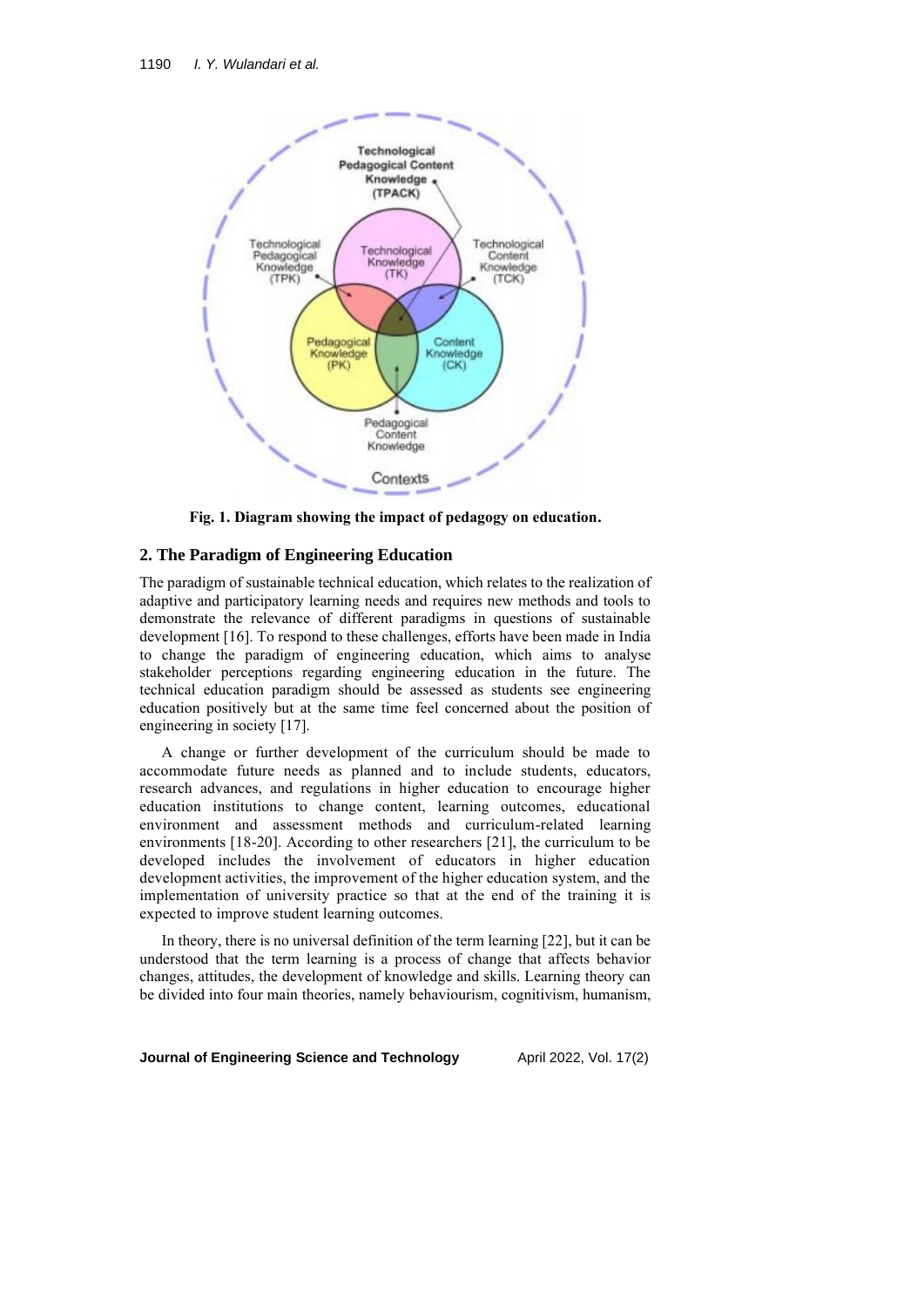

**Fig. 1. Diagram showing the impact of pedagogy on education.**

#### **2. The Paradigm of Engineering Education**

The paradigm of sustainable technical education, which relates to the realization of adaptive and participatory learning needs and requires new methods and tools to demonstrate the relevance of different paradigms in questions of sustainable development [16]. To respond to these challenges, efforts have been made in India to change the paradigm of engineering education, which aims to analyse stakeholder perceptions regarding engineering education in the future. The technical education paradigm should be assessed as students see engineering education positively but at the same time feel concerned about the position of engineering in society [17].

A change or further development of the curriculum should be made to accommodate future needs as planned and to include students, educators, research advances, and regulations in higher education to encourage higher education institutions to change content, learning outcomes, educational environment and assessment methods and curriculum-related learning environments [18-20]. According to other researchers [21], the curriculum to be developed includes the involvement of educators in higher education development activities, the improvement of the higher education system, and the implementation of university practice so that at the end of the training it is expected to improve student learning outcomes.

In theory, there is no universal definition of the term learning [22], but it can be understood that the term learning is a process of change that affects behavior changes, attitudes, the development of knowledge and skills. Learning theory can be divided into four main theories, namely behaviourism, cognitivism, humanism,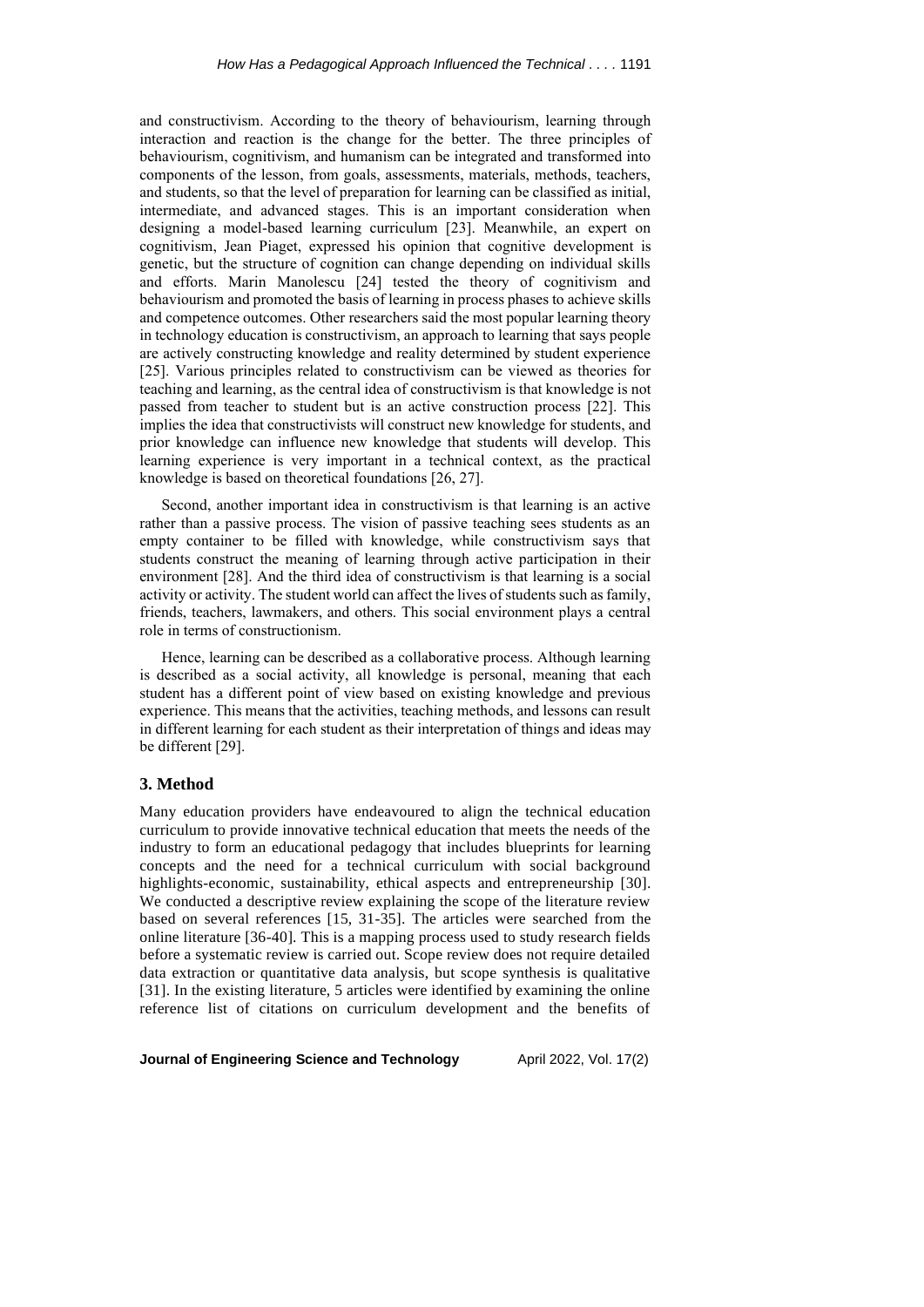and constructivism. According to the theory of behaviourism, learning through interaction and reaction is the change for the better. The three principles of behaviourism, cognitivism, and humanism can be integrated and transformed into components of the lesson, from goals, assessments, materials, methods, teachers, and students, so that the level of preparation for learning can be classified as initial, intermediate, and advanced stages. This is an important consideration when designing a model-based learning curriculum [23]. Meanwhile, an expert on cognitivism, Jean Piaget, expressed his opinion that cognitive development is genetic, but the structure of cognition can change depending on individual skills and efforts. Marin Manolescu [24] tested the theory of cognitivism and behaviourism and promoted the basis of learning in process phases to achieve skills and competence outcomes. Other researchers said the most popular learning theory in technology education is constructivism, an approach to learning that says people are actively constructing knowledge and reality determined by student experience [25]. Various principles related to constructivism can be viewed as theories for teaching and learning, as the central idea of constructivism is that knowledge is not passed from teacher to student but is an active construction process [22]. This implies the idea that constructivists will construct new knowledge for students, and prior knowledge can influence new knowledge that students will develop. This learning experience is very important in a technical context, as the practical knowledge is based on theoretical foundations [26, 27].

Second, another important idea in constructivism is that learning is an active rather than a passive process. The vision of passive teaching sees students as an empty container to be filled with knowledge, while constructivism says that students construct the meaning of learning through active participation in their environment [28]. And the third idea of constructivism is that learning is a social activity or activity. The student world can affect the lives of students such as family, friends, teachers, lawmakers, and others. This social environment plays a central role in terms of constructionism.

Hence, learning can be described as a collaborative process. Although learning is described as a social activity, all knowledge is personal, meaning that each student has a different point of view based on existing knowledge and previous experience. This means that the activities, teaching methods, and lessons can result in different learning for each student as their interpretation of things and ideas may be different [29].

## **3. Method**

Many education providers have endeavoured to align the technical education curriculum to provide innovative technical education that meets the needs of the industry to form an educational pedagogy that includes blueprints for learning concepts and the need for a technical curriculum with social background highlights-economic, sustainability, ethical aspects and entrepreneurship [30]. We conducted a descriptive review explaining the scope of the literature review based on several references [15, 31-35]. The articles were searched from the online literature [36-40]. This is a mapping process used to study research fields before a systematic review is carried out. Scope review does not require detailed data extraction or quantitative data analysis, but scope synthesis is qualitative [31]. In the existing literature, 5 articles were identified by examining the online reference list of citations on curriculum development and the benefits of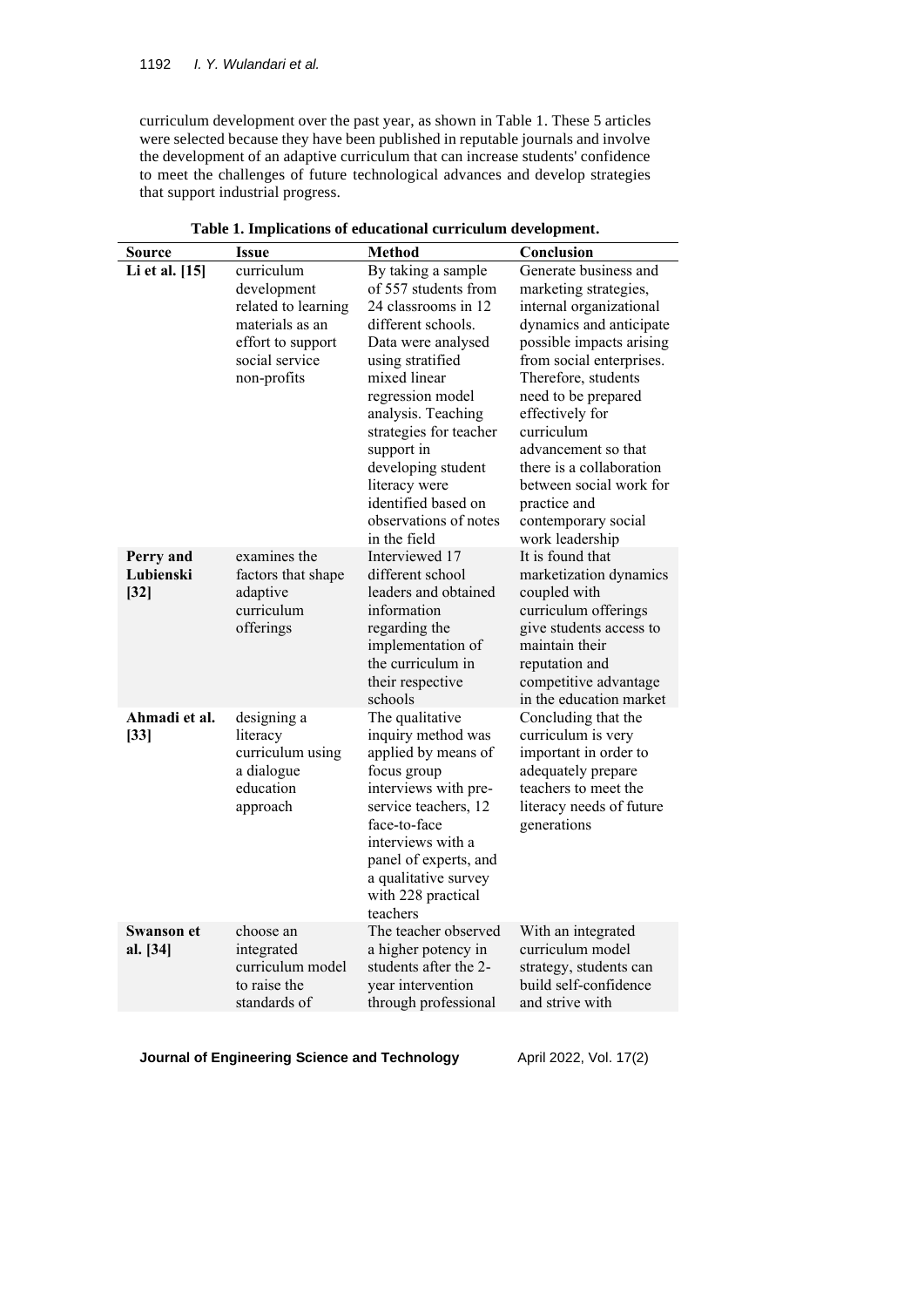curriculum development over the past year, as shown in Table 1. These 5 articles were selected because they have been published in reputable journals and involve the development of an adaptive curriculum that can increase students' confidence to meet the challenges of future technological advances and develop strategies that support industrial progress.

| Source                           | Issue                                                                                                                     | Method                                                                                                                                                                                                                                                                                                                                     | Conclusion                                                                                                                                                                                                                                                                                                                                                                          |  |
|----------------------------------|---------------------------------------------------------------------------------------------------------------------------|--------------------------------------------------------------------------------------------------------------------------------------------------------------------------------------------------------------------------------------------------------------------------------------------------------------------------------------------|-------------------------------------------------------------------------------------------------------------------------------------------------------------------------------------------------------------------------------------------------------------------------------------------------------------------------------------------------------------------------------------|--|
| Li et al. [15]                   | curriculum<br>development<br>related to learning<br>materials as an<br>effort to support<br>social service<br>non-profits | By taking a sample<br>of 557 students from<br>24 classrooms in 12<br>different schools.<br>Data were analysed<br>using stratified<br>mixed linear<br>regression model<br>analysis. Teaching<br>strategies for teacher<br>support in<br>developing student<br>literacy were<br>identified based on<br>observations of notes<br>in the field | Generate business and<br>marketing strategies,<br>internal organizational<br>dynamics and anticipate<br>possible impacts arising<br>from social enterprises.<br>Therefore, students<br>need to be prepared<br>effectively for<br>curriculum<br>advancement so that<br>there is a collaboration<br>between social work for<br>practice and<br>contemporary social<br>work leadership |  |
| Perry and<br>Lubienski<br>$[32]$ | examines the<br>factors that shape<br>adaptive<br>curriculum<br>offerings                                                 | Interviewed 17<br>different school<br>leaders and obtained<br>information<br>regarding the<br>implementation of<br>the curriculum in<br>their respective<br>schools                                                                                                                                                                        | It is found that<br>marketization dynamics<br>coupled with<br>curriculum offerings<br>give students access to<br>maintain their<br>reputation and<br>competitive advantage<br>in the education market                                                                                                                                                                               |  |
| Ahmadi et al.<br>$[33]$          | designing a<br>literacy<br>curriculum using<br>a dialogue<br>education<br>approach                                        | The qualitative<br>inquiry method was<br>applied by means of<br>focus group<br>interviews with pre-<br>service teachers, 12<br>face-to-face<br>interviews with a<br>panel of experts, and<br>a qualitative survey<br>with 228 practical<br>teachers                                                                                        | Concluding that the<br>curriculum is very<br>important in order to<br>adequately prepare<br>teachers to meet the<br>literacy needs of future<br>generations                                                                                                                                                                                                                         |  |
| <b>Swanson et</b><br>al. [34]    | choose an<br>integrated<br>curriculum model<br>to raise the<br>standards of                                               | The teacher observed<br>a higher potency in<br>students after the 2-<br>year intervention<br>through professional                                                                                                                                                                                                                          | With an integrated<br>curriculum model<br>strategy, students can<br>build self-confidence<br>and strive with                                                                                                                                                                                                                                                                        |  |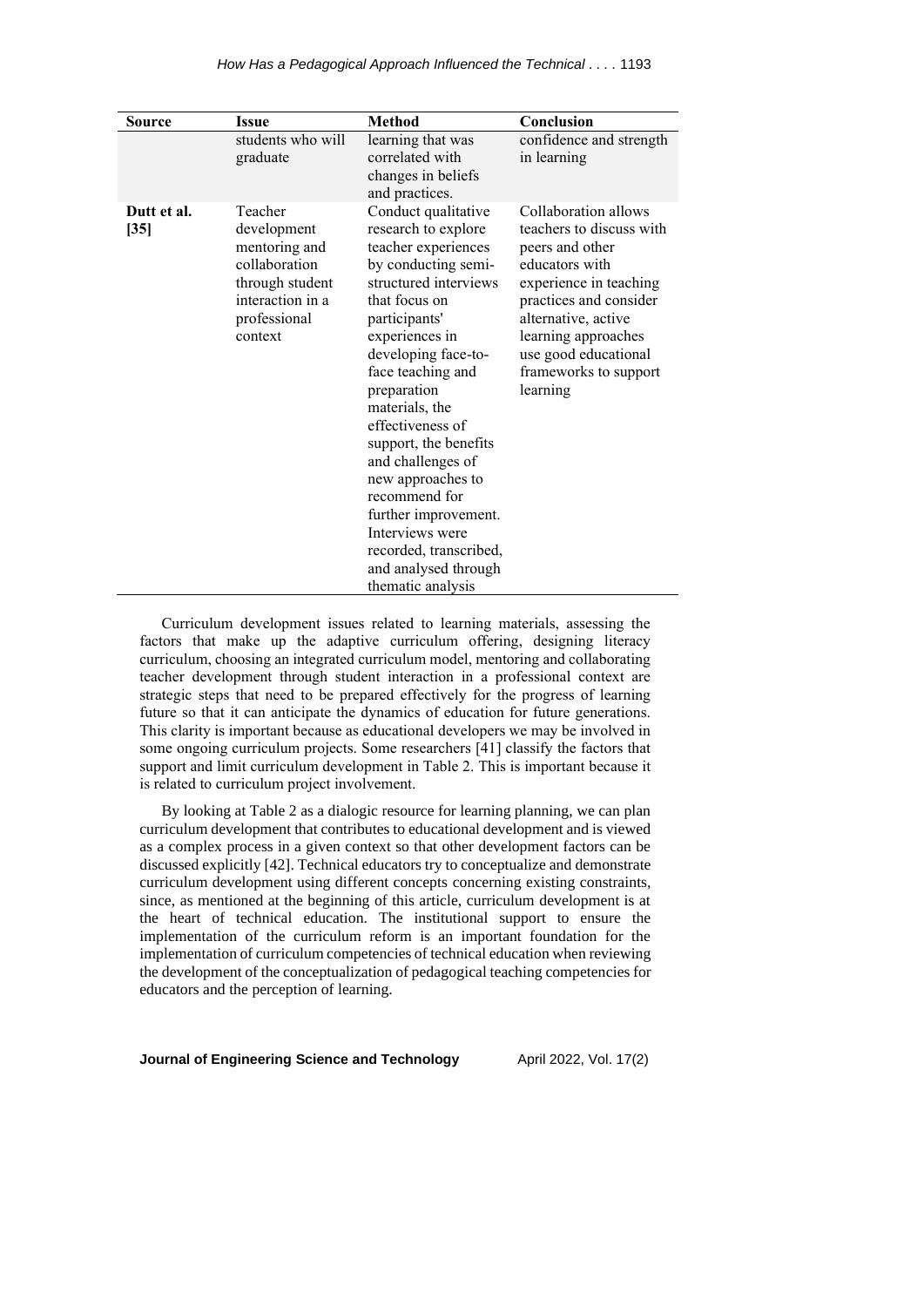| <b>Source</b>         | Issue                                                                                                                      | Method                                                                                                                                                                                                                                                                                                                                                                                                                                                                       | Conclusion                                                                                                                                                                                                                                           |
|-----------------------|----------------------------------------------------------------------------------------------------------------------------|------------------------------------------------------------------------------------------------------------------------------------------------------------------------------------------------------------------------------------------------------------------------------------------------------------------------------------------------------------------------------------------------------------------------------------------------------------------------------|------------------------------------------------------------------------------------------------------------------------------------------------------------------------------------------------------------------------------------------------------|
|                       | students who will<br>graduate                                                                                              | learning that was<br>correlated with<br>changes in beliefs<br>and practices.                                                                                                                                                                                                                                                                                                                                                                                                 | confidence and strength<br>in learning                                                                                                                                                                                                               |
| Dutt et al.<br>$[35]$ | Teacher<br>development<br>mentoring and<br>collaboration<br>through student<br>interaction in a<br>professional<br>context | Conduct qualitative<br>research to explore<br>teacher experiences<br>by conducting semi-<br>structured interviews<br>that focus on<br>participants'<br>experiences in<br>developing face-to-<br>face teaching and<br>preparation<br>materials, the<br>effectiveness of<br>support, the benefits<br>and challenges of<br>new approaches to<br>recommend for<br>further improvement.<br>Interviews were<br>recorded, transcribed,<br>and analysed through<br>thematic analysis | Collaboration allows<br>teachers to discuss with<br>peers and other<br>educators with<br>experience in teaching<br>practices and consider<br>alternative, active<br>learning approaches<br>use good educational<br>frameworks to support<br>learning |

Curriculum development issues related to learning materials, assessing the factors that make up the adaptive curriculum offering, designing literacy curriculum, choosing an integrated curriculum model, mentoring and collaborating teacher development through student interaction in a professional context are strategic steps that need to be prepared effectively for the progress of learning future so that it can anticipate the dynamics of education for future generations. This clarity is important because as educational developers we may be involved in some ongoing curriculum projects. Some researchers [41] classify the factors that support and limit curriculum development in Table 2. This is important because it is related to curriculum project involvement.

By looking at Table 2 as a dialogic resource for learning planning, we can plan curriculum development that contributes to educational development and is viewed as a complex process in a given context so that other development factors can be discussed explicitly [42]. Technical educators try to conceptualize and demonstrate curriculum development using different concepts concerning existing constraints, since, as mentioned at the beginning of this article, curriculum development is at the heart of technical education. The institutional support to ensure the implementation of the curriculum reform is an important foundation for the implementation of curriculum competencies of technical education when reviewing the development of the conceptualization of pedagogical teaching competencies for educators and the perception of learning.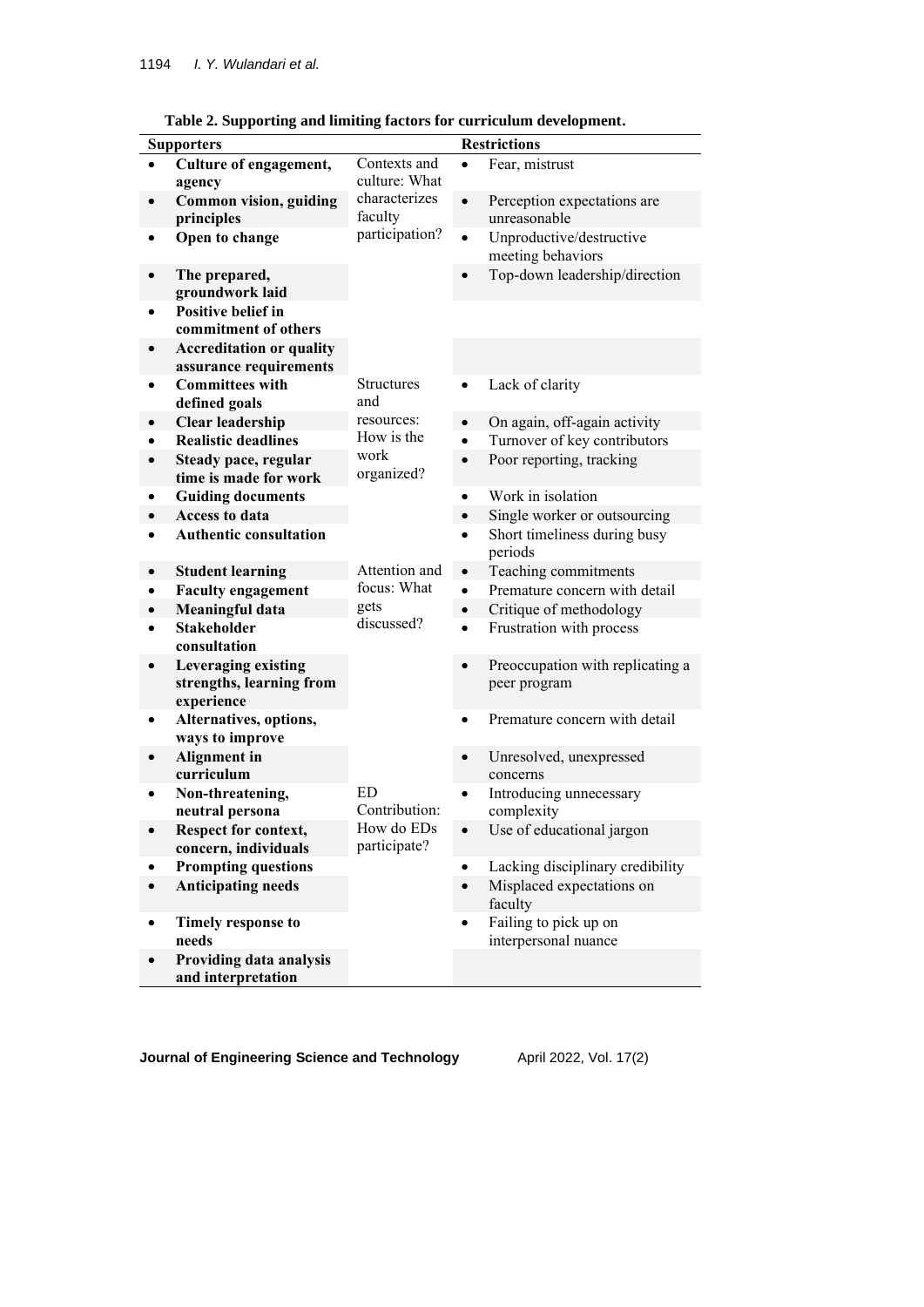| <b>Supporters</b> |                                   |                   |           | <b>Restrictions</b>                   |  |  |
|-------------------|-----------------------------------|-------------------|-----------|---------------------------------------|--|--|
|                   | Culture of engagement,            | Contexts and      |           | Fear, mistrust                        |  |  |
|                   | agency                            | culture: What     |           |                                       |  |  |
|                   | Common vision, guiding            | characterizes     | $\bullet$ | Perception expectations are           |  |  |
|                   | principles                        | faculty           |           | unreasonable                          |  |  |
|                   | Open to change                    | participation?    | $\bullet$ | Unproductive/destructive              |  |  |
|                   |                                   |                   |           | meeting behaviors                     |  |  |
|                   | The prepared,                     |                   |           | Top-down leadership/direction         |  |  |
|                   | groundwork laid                   |                   |           |                                       |  |  |
|                   | Positive belief in                |                   |           |                                       |  |  |
|                   | commitment of others              |                   |           |                                       |  |  |
|                   | <b>Accreditation or quality</b>   |                   |           |                                       |  |  |
|                   | assurance requirements            |                   |           |                                       |  |  |
|                   | <b>Committees with</b>            | <b>Structures</b> | $\bullet$ | Lack of clarity                       |  |  |
|                   | defined goals                     | and               |           |                                       |  |  |
| $\bullet$         | <b>Clear leadership</b>           | resources:        | $\bullet$ | On again, off-again activity          |  |  |
| $\bullet$         | <b>Realistic deadlines</b>        | How is the        | $\bullet$ | Turnover of key contributors          |  |  |
|                   | Steady pace, regular              | work              | $\bullet$ | Poor reporting, tracking              |  |  |
|                   | time is made for work             | organized?        |           |                                       |  |  |
| ٠                 | <b>Guiding documents</b>          |                   | $\bullet$ | Work in isolation                     |  |  |
|                   | <b>Access to data</b>             |                   | $\bullet$ | Single worker or outsourcing          |  |  |
|                   | <b>Authentic consultation</b>     |                   | $\bullet$ | Short timeliness during busy          |  |  |
|                   |                                   |                   |           | periods                               |  |  |
| $\bullet$         | <b>Student learning</b>           | Attention and     | $\bullet$ | Teaching commitments                  |  |  |
|                   | <b>Faculty engagement</b>         | focus: What       | $\bullet$ | Premature concern with detail         |  |  |
| $\bullet$         | <b>Meaningful data</b>            | gets              | $\bullet$ | Critique of methodology               |  |  |
|                   | <b>Stakeholder</b>                | discussed?        | $\bullet$ | Frustration with process              |  |  |
|                   | consultation                      |                   |           |                                       |  |  |
|                   | Leveraging existing               |                   | $\bullet$ | Preoccupation with replicating a      |  |  |
|                   | strengths, learning from          |                   |           | peer program                          |  |  |
|                   | experience                        |                   |           |                                       |  |  |
|                   | Alternatives, options,            |                   | $\bullet$ | Premature concern with detail         |  |  |
|                   | ways to improve                   |                   |           |                                       |  |  |
|                   | <b>Alignment</b> in<br>curriculum |                   |           | Unresolved, unexpressed<br>concerns   |  |  |
|                   | Non-threatening,                  | ED                | $\bullet$ |                                       |  |  |
|                   | neutral persona                   | Contribution:     |           | Introducing unnecessary<br>complexity |  |  |
|                   | Respect for context,              | How do EDs        |           | Use of educational jargon             |  |  |
|                   | concern, individuals              | participate?      |           |                                       |  |  |
|                   | <b>Prompting questions</b>        |                   | $\bullet$ | Lacking disciplinary credibility      |  |  |
|                   | <b>Anticipating needs</b>         |                   |           | Misplaced expectations on             |  |  |
|                   |                                   |                   |           | faculty                               |  |  |
| $\bullet$         | Timely response to                |                   |           | Failing to pick up on                 |  |  |
|                   | needs                             |                   |           | interpersonal nuance                  |  |  |
|                   | Providing data analysis           |                   |           |                                       |  |  |
|                   | and interpretation                |                   |           |                                       |  |  |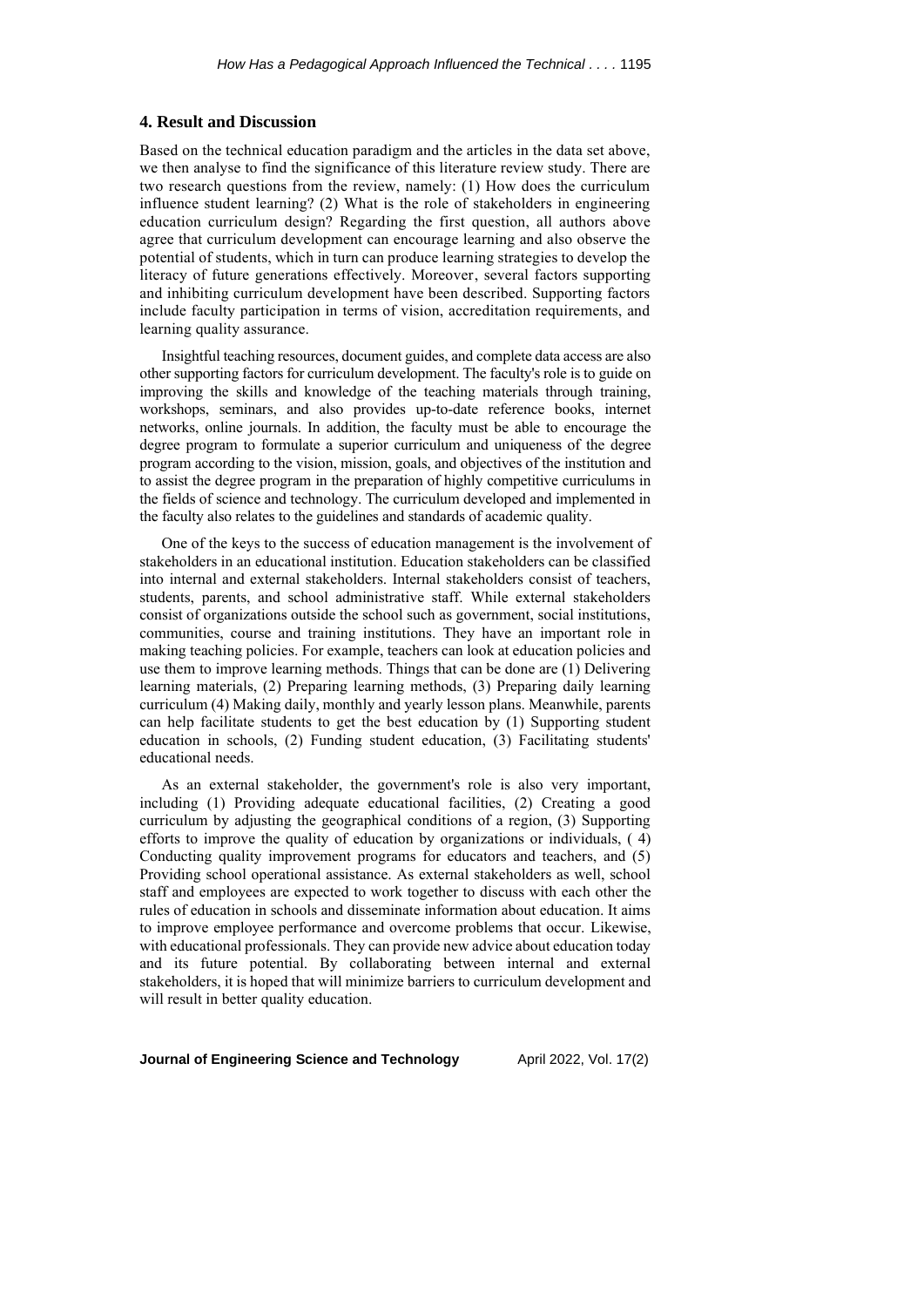#### **4. Result and Discussion**

Based on the technical education paradigm and the articles in the data set above, we then analyse to find the significance of this literature review study. There are two research questions from the review, namely: (1) How does the curriculum influence student learning? (2) What is the role of stakeholders in engineering education curriculum design? Regarding the first question, all authors above agree that curriculum development can encourage learning and also observe the potential of students, which in turn can produce learning strategies to develop the literacy of future generations effectively. Moreover, several factors supporting and inhibiting curriculum development have been described. Supporting factors include faculty participation in terms of vision, accreditation requirements, and learning quality assurance.

Insightful teaching resources, document guides, and complete data access are also other supporting factors for curriculum development. The faculty's role is to guide on improving the skills and knowledge of the teaching materials through training, workshops, seminars, and also provides up-to-date reference books, internet networks, online journals. In addition, the faculty must be able to encourage the degree program to formulate a superior curriculum and uniqueness of the degree program according to the vision, mission, goals, and objectives of the institution and to assist the degree program in the preparation of highly competitive curriculums in the fields of science and technology. The curriculum developed and implemented in the faculty also relates to the guidelines and standards of academic quality.

One of the keys to the success of education management is the involvement of stakeholders in an educational institution. Education stakeholders can be classified into internal and external stakeholders. Internal stakeholders consist of teachers, students, parents, and school administrative staff. While external stakeholders consist of organizations outside the school such as government, social institutions, communities, course and training institutions. They have an important role in making teaching policies. For example, teachers can look at education policies and use them to improve learning methods. Things that can be done are (1) Delivering learning materials, (2) Preparing learning methods, (3) Preparing daily learning curriculum (4) Making daily, monthly and yearly lesson plans. Meanwhile, parents can help facilitate students to get the best education by (1) Supporting student education in schools, (2) Funding student education, (3) Facilitating students' educational needs.

As an external stakeholder, the government's role is also very important, including (1) Providing adequate educational facilities, (2) Creating a good curriculum by adjusting the geographical conditions of a region, (3) Supporting efforts to improve the quality of education by organizations or individuals, ( 4) Conducting quality improvement programs for educators and teachers, and (5) Providing school operational assistance. As external stakeholders as well, school staff and employees are expected to work together to discuss with each other the rules of education in schools and disseminate information about education. It aims to improve employee performance and overcome problems that occur. Likewise, with educational professionals. They can provide new advice about education today and its future potential. By collaborating between internal and external stakeholders, it is hoped that will minimize barriers to curriculum development and will result in better quality education.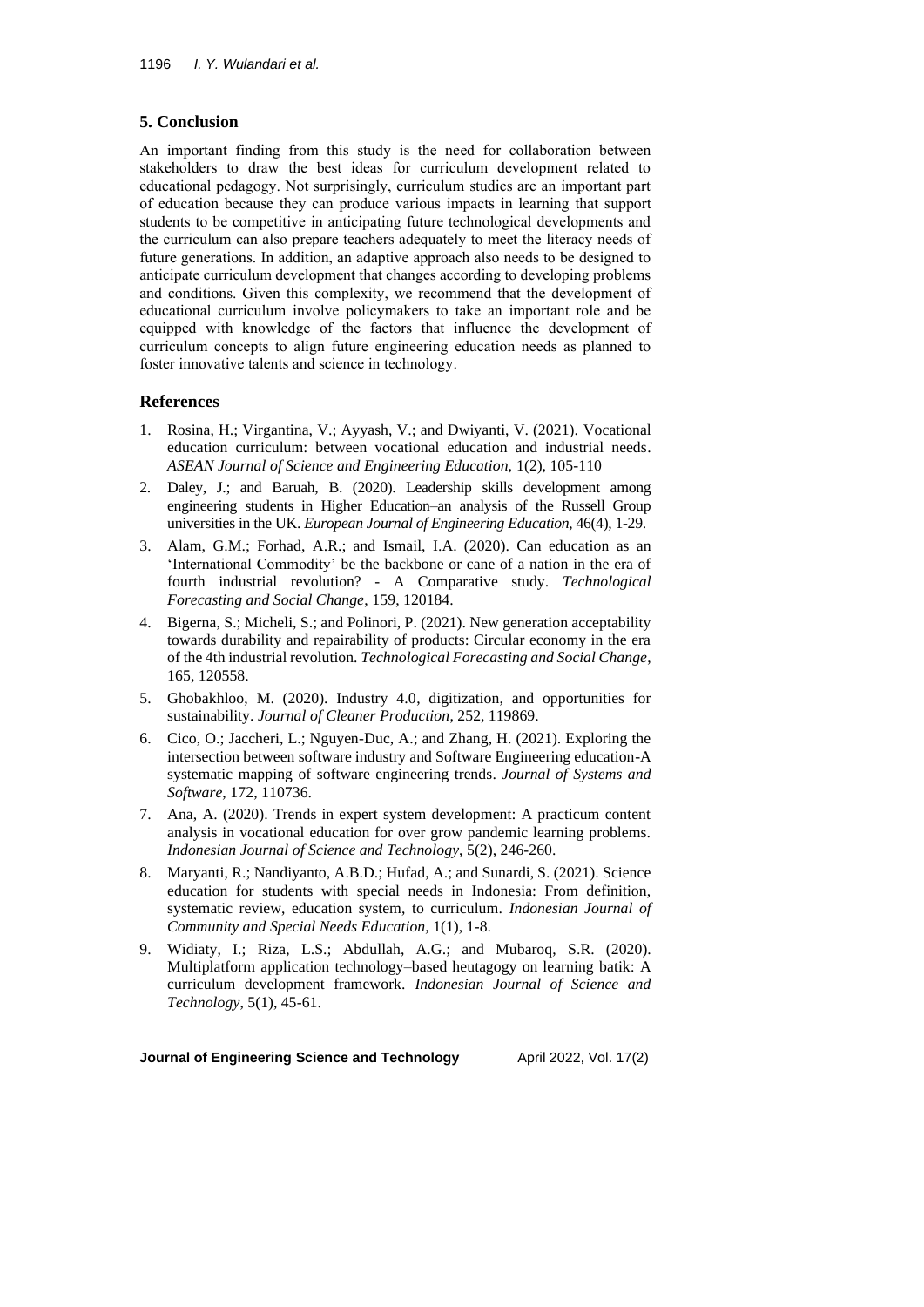# **5. Conclusion**

An important finding from this study is the need for collaboration between stakeholders to draw the best ideas for curriculum development related to educational pedagogy. Not surprisingly, curriculum studies are an important part of education because they can produce various impacts in learning that support students to be competitive in anticipating future technological developments and the curriculum can also prepare teachers adequately to meet the literacy needs of future generations. In addition, an adaptive approach also needs to be designed to anticipate curriculum development that changes according to developing problems and conditions. Given this complexity, we recommend that the development of educational curriculum involve policymakers to take an important role and be equipped with knowledge of the factors that influence the development of curriculum concepts to align future engineering education needs as planned to foster innovative talents and science in technology.

# **References**

- 1. Rosina, H.; Virgantina, V.; Ayyash, V.; and Dwiyanti, V. (2021). Vocational education curriculum: between vocational education and industrial needs. *ASEAN Journal of Science and Engineering Education,* 1(2), 105-110
- 2. Daley, J.; and Baruah, B. (2020). Leadership skills development among engineering students in Higher Education–an analysis of the Russell Group universities in the UK. *European Journal of Engineering Education*, 46(4), 1-29.
- 3. Alam, G.M.; Forhad, A.R.; and Ismail, I.A. (2020). Can education as an 'International Commodity' be the backbone or cane of a nation in the era of fourth industrial revolution? - A Comparative study. *Technological Forecasting and Social Change*, 159, 120184.
- 4. Bigerna, S.; Micheli, S.; and Polinori, P. (2021). New generation acceptability towards durability and repairability of products: Circular economy in the era of the 4th industrial revolution. *Technological Forecasting and Social Change*, 165, 120558.
- 5. Ghobakhloo, M. (2020). Industry 4.0, digitization, and opportunities for sustainability. *Journal of Cleaner Production*, 252, 119869.
- 6. Cico, O.; Jaccheri, L.; Nguyen-Duc, A.; and Zhang, H. (2021). Exploring the intersection between software industry and Software Engineering education-A systematic mapping of software engineering trends. *Journal of Systems and Software*, 172, 110736.
- 7. Ana, A. (2020). Trends in expert system development: A practicum content analysis in vocational education for over grow pandemic learning problems. *Indonesian Journal of Science and Technology*, 5(2), 246-260.
- 8. Maryanti, R.; Nandiyanto, A.B.D.; Hufad, A.; and Sunardi, S. (2021). Science education for students with special needs in Indonesia: From definition, systematic review, education system, to curriculum. *Indonesian Journal of Community and Special Needs Education,* 1(1), 1-8.
- 9. Widiaty, I.; Riza, L.S.; Abdullah, A.G.; and Mubaroq, S.R. (2020). Multiplatform application technology–based heutagogy on learning batik: A curriculum development framework. *Indonesian Journal of Science and Technology*, 5(1), 45-61.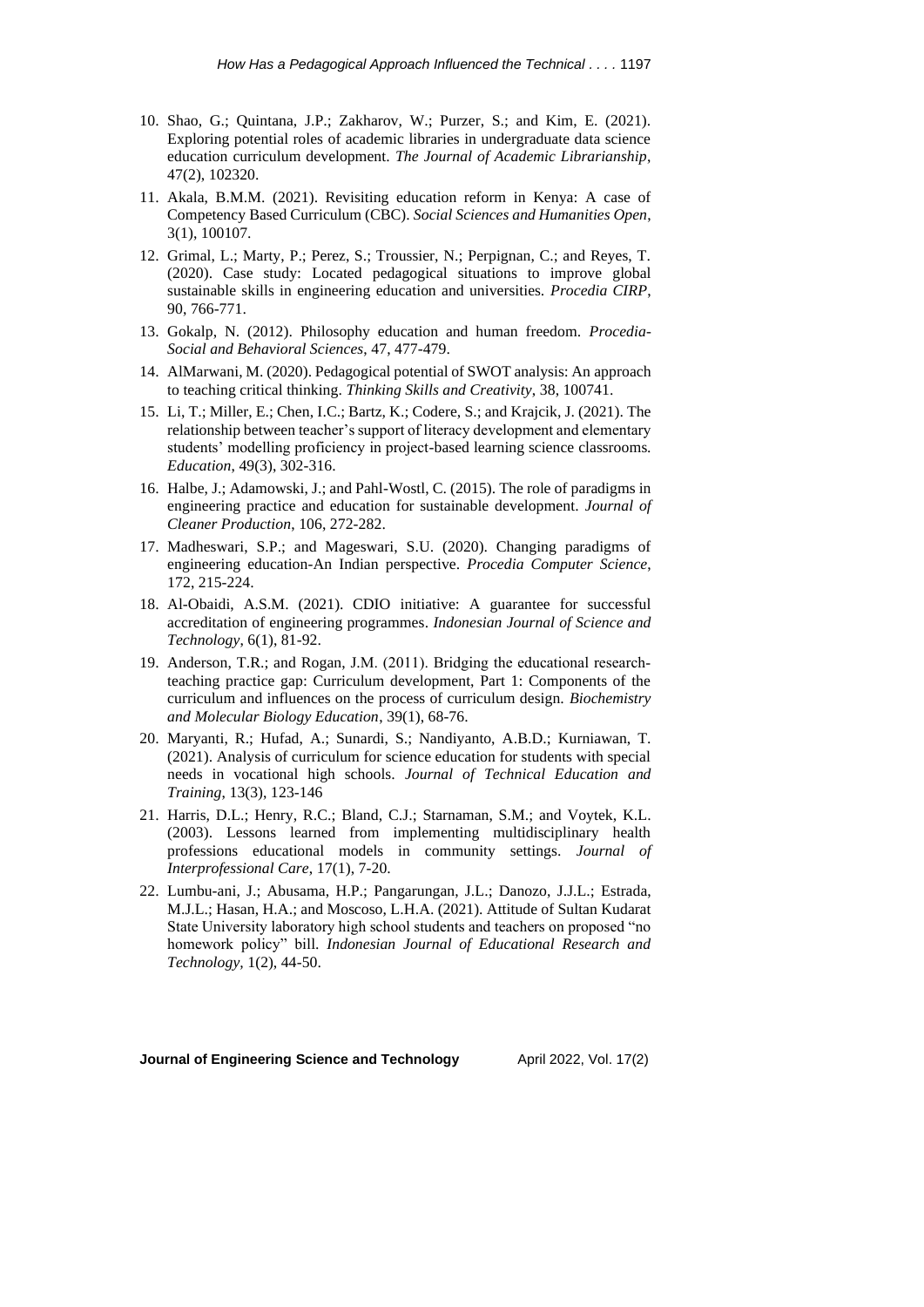- 10. Shao, G.; Quintana, J.P.; Zakharov, W.; Purzer, S.; and Kim, E. (2021). Exploring potential roles of academic libraries in undergraduate data science education curriculum development. *The Journal of Academic Librarianship*, 47(2), 102320.
- 11. Akala, B.M.M. (2021). Revisiting education reform in Kenya: A case of Competency Based Curriculum (CBC). *Social Sciences and Humanities Open*, 3(1), 100107.
- 12. Grimal, L.; Marty, P.; Perez, S.; Troussier, N.; Perpignan, C.; and Reyes, T. (2020). Case study: Located pedagogical situations to improve global sustainable skills in engineering education and universities. *Procedia CIRP*, 90, 766-771.
- 13. Gokalp, N. (2012). Philosophy education and human freedom. *Procedia-Social and Behavioral Sciences*, 47, 477-479.
- 14. AlMarwani, M. (2020). Pedagogical potential of SWOT analysis: An approach to teaching critical thinking. *Thinking Skills and Creativity*, 38, 100741.
- 15. Li, T.; Miller, E.; Chen, I.C.; Bartz, K.; Codere, S.; and Krajcik, J. (2021). The relationship between teacher's support of literacy development and elementary students' modelling proficiency in project-based learning science classrooms. *Education*, 49(3), 302-316.
- 16. Halbe, J.; Adamowski, J.; and Pahl-Wostl, C. (2015). The role of paradigms in engineering practice and education for sustainable development. *Journal of Cleaner Production*, 106, 272-282.
- 17. Madheswari, S.P.; and Mageswari, S.U. (2020). Changing paradigms of engineering education-An Indian perspective. *Procedia Computer Science*, 172, 215-224.
- 18. Al-Obaidi, A.S.M. (2021). CDIO initiative: A guarantee for successful accreditation of engineering programmes. *Indonesian Journal of Science and Technology*, 6(1), 81-92.
- 19. Anderson, T.R.; and Rogan, J.M. (2011). Bridging the educational researchteaching practice gap: Curriculum development, Part 1: Components of the curriculum and influences on the process of curriculum design. *Biochemistry and Molecular Biology Education*, 39(1), 68-76.
- 20. Maryanti, R.; Hufad, A.; Sunardi, S.; Nandiyanto, A.B.D.; Kurniawan, T. (2021). Analysis of curriculum for science education for students with special needs in vocational high schools. *Journal of Technical Education and Training*, 13(3), 123-146
- 21. Harris, D.L.; Henry, R.C.; Bland, C.J.; Starnaman, S.M.; and Voytek, K.L. (2003). Lessons learned from implementing multidisciplinary health professions educational models in community settings. *Journal of Interprofessional Care*, 17(1), 7-20.
- 22. Lumbu-ani, J.; Abusama, H.P.; Pangarungan, J.L.; Danozo, J.J.L.; Estrada, M.J.L.; Hasan, H.A.; and Moscoso, L.H.A. (2021). Attitude of Sultan Kudarat State University laboratory high school students and teachers on proposed "no homework policy" bill. *Indonesian Journal of Educational Research and Technology,* 1(2), 44-50.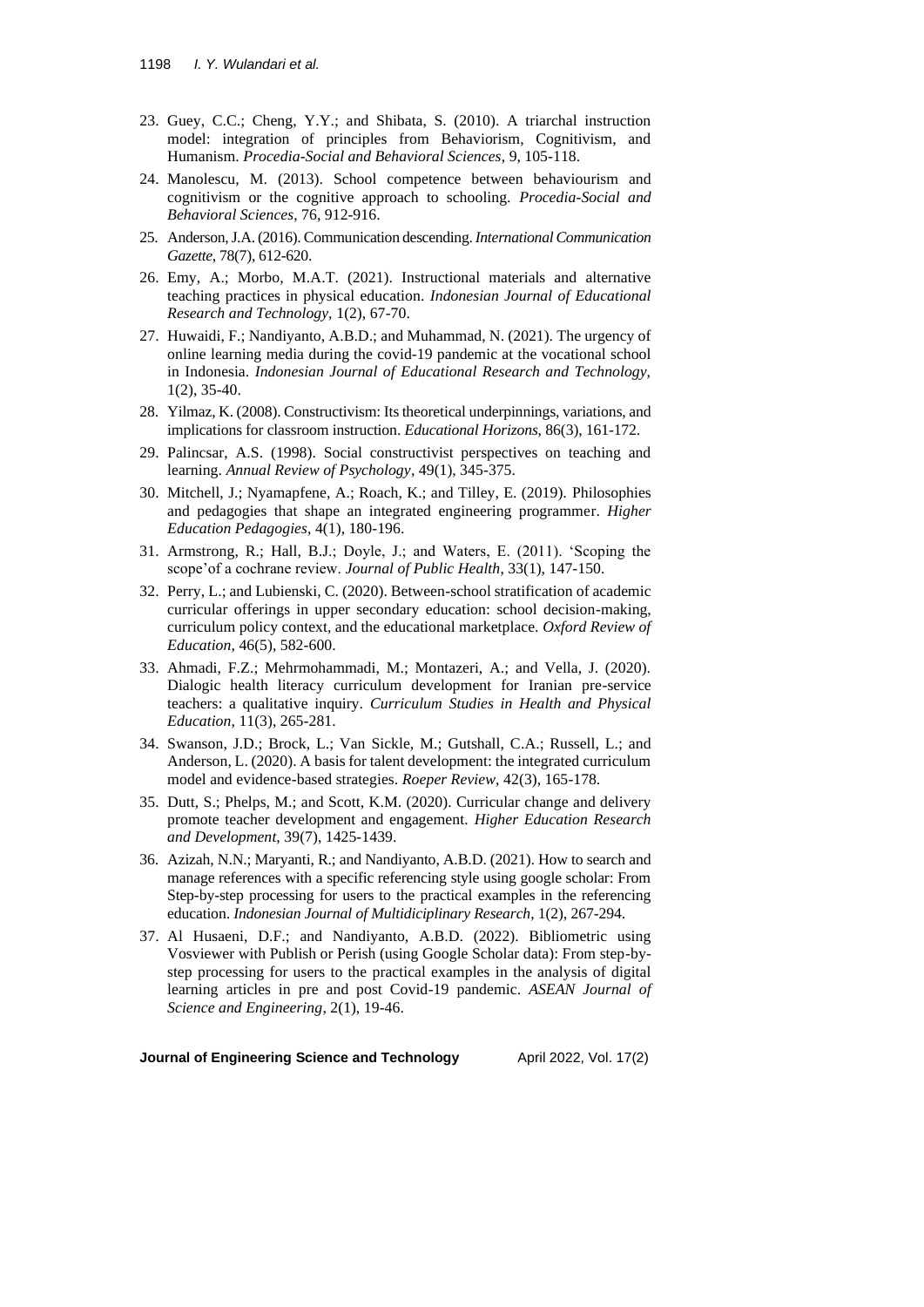- 23. Guey, C.C.; Cheng, Y.Y.; and Shibata, S. (2010). A triarchal instruction model: integration of principles from Behaviorism, Cognitivism, and Humanism. *Procedia-Social and Behavioral Sciences*, 9, 105-118.
- 24. Manolescu, M. (2013). School competence between behaviourism and cognitivism or the cognitive approach to schooling. *Procedia-Social and Behavioral Sciences*, 76, 912-916.
- 25. Anderson, J.A. (2016). Communication descending. *International Communication Gazette*, 78(7), 612-620.
- 26. Emy, A.; Morbo, M.A.T. (2021). Instructional materials and alternative teaching practices in physical education. *Indonesian Journal of Educational Research and Technology,* 1(2), 67-70.
- 27. Huwaidi, F.; Nandiyanto, A.B.D.; and Muhammad, N. (2021). The urgency of online learning media during the covid-19 pandemic at the vocational school in Indonesia. *Indonesian Journal of Educational Research and Technology,*  1(2), 35-40.
- 28. Yilmaz, K. (2008). Constructivism: Its theoretical underpinnings, variations, and implications for classroom instruction. *Educational Horizons*, 86(3), 161-172.
- 29. Palincsar, A.S. (1998). Social constructivist perspectives on teaching and learning. *Annual Review of Psychology*, 49(1), 345-375.
- 30. Mitchell, J.; Nyamapfene, A.; Roach, K.; and Tilley, E. (2019). Philosophies and pedagogies that shape an integrated engineering programmer. *Higher Education Pedagogies*, 4(1), 180-196.
- 31. Armstrong, R.; Hall, B.J.; Doyle, J.; and Waters, E. (2011). 'Scoping the scope'of a cochrane review. *Journal of Public Health*, 33(1), 147-150.
- 32. Perry, L.; and Lubienski, C. (2020). Between-school stratification of academic curricular offerings in upper secondary education: school decision-making, curriculum policy context, and the educational marketplace. *Oxford Review of Education*, 46(5), 582-600.
- 33. Ahmadi, F.Z.; Mehrmohammadi, M.; Montazeri, A.; and Vella, J. (2020). Dialogic health literacy curriculum development for Iranian pre-service teachers: a qualitative inquiry. *Curriculum Studies in Health and Physical Education*, 11(3), 265-281.
- 34. Swanson, J.D.; Brock, L.; Van Sickle, M.; Gutshall, C.A.; Russell, L.; and Anderson, L. (2020). A basis for talent development: the integrated curriculum model and evidence-based strategies. *Roeper Review*, 42(3), 165-178.
- 35. Dutt, S.; Phelps, M.; and Scott, K.M. (2020). Curricular change and delivery promote teacher development and engagement. *Higher Education Research and Development*, 39(7), 1425-1439.
- 36. Azizah, N.N.; Maryanti, R.; and Nandiyanto, A.B.D. (2021). How to search and manage references with a specific referencing style using google scholar: From Step-by-step processing for users to the practical examples in the referencing education. *Indonesian Journal of Multidiciplinary Research*, 1(2), 267-294.
- 37. Al Husaeni, D.F.; and Nandiyanto, A.B.D. (2022). Bibliometric using Vosviewer with Publish or Perish (using Google Scholar data): From step-bystep processing for users to the practical examples in the analysis of digital learning articles in pre and post Covid-19 pandemic. *ASEAN Journal of Science and Engineering*, 2(1), 19-46.